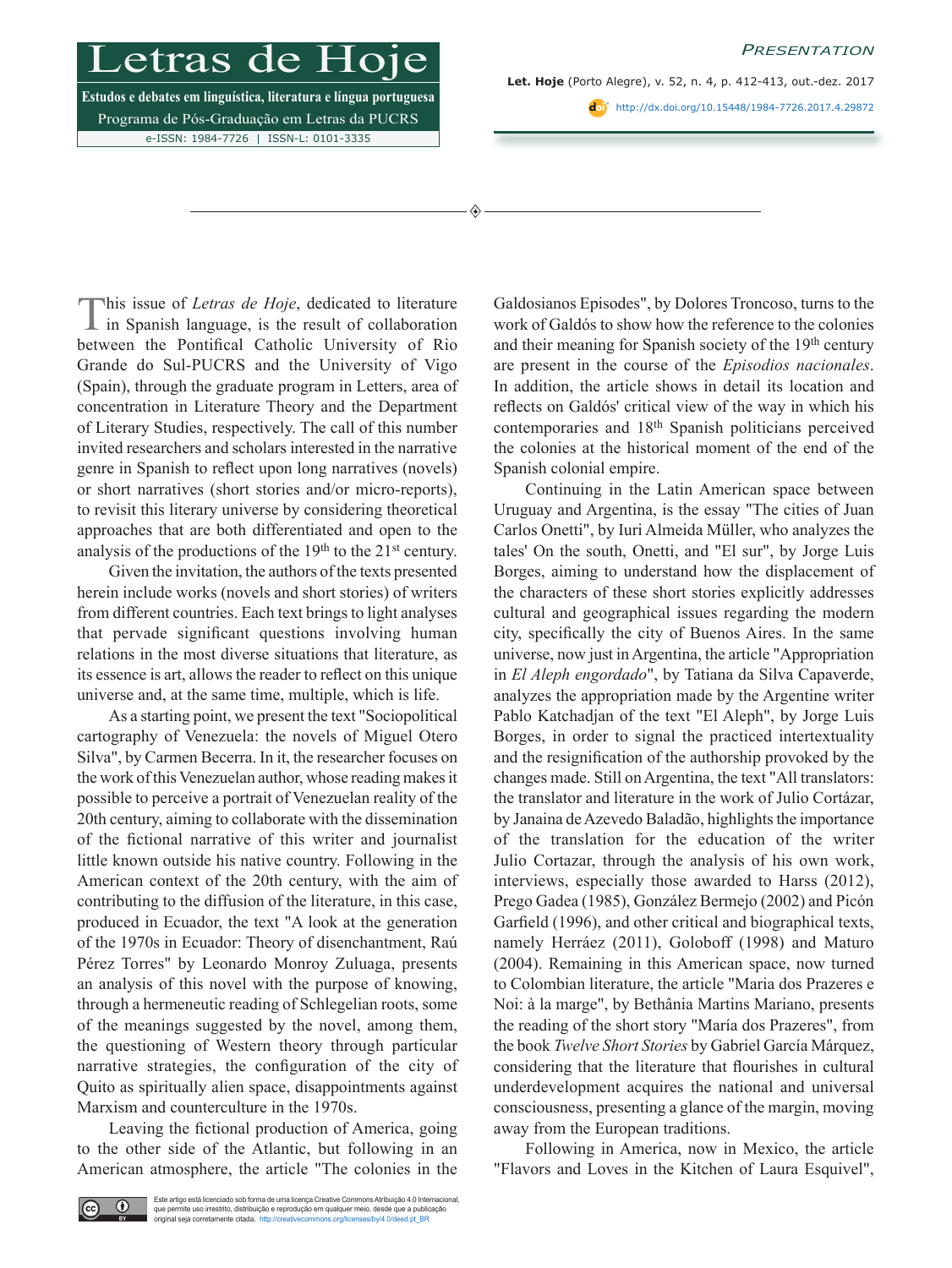*Presentation*

## etras

**Estudos e debates em linguística, literatura e língua portuguesa** Programa de Pós-Graduação em Letras da PUCRS e-ISSN: 1984-7726 | ISSN-L: 0101-3335

◈

**Let. Hoje** (Porto Alegre), v. 52, n. 4, p. 412-413, out.-dez. 2017

<http://dx.doi.org/10.15448/1984-7726.2017.4.29872>

This issue of *Letras de Hoje*, dedicated to literature in Spanish language, is the result of collaboration between the Pontifical Catholic University of Rio Grande do Sul-PUCRS and the University of Vigo (Spain), through the graduate program in Letters, area of concentration in Literature Theory and the Department of Literary Studies, respectively. The call of this number invited researchers and scholars interested in the narrative genre in Spanish to reflect upon long narratives (novels) or short narratives (short stories and/or micro-reports), to revisit this literary universe by considering theoretical approaches that are both differentiated and open to the analysis of the productions of the  $19<sup>th</sup>$  to the  $21<sup>st</sup>$  century.

Given the invitation, the authors of the texts presented herein include works (novels and short stories) of writers from different countries. Each text brings to light analyses that pervade significant questions involving human relations in the most diverse situations that literature, as its essence is art, allows the reader to reflect on this unique universe and, at the same time, multiple, which is life.

As a starting point, we present the text "Sociopolitical cartography of Venezuela: the novels of Miguel Otero Silva", by Carmen Becerra. In it, the researcher focuses on the work of this Venezuelan author, whose reading makes it possible to perceive a portrait of Venezuelan reality of the 20th century, aiming to collaborate with the dissemination of the fictional narrative of this writer and journalist little known outside his native country. Following in the American context of the 20th century, with the aim of contributing to the diffusion of the literature, in this case, produced in Ecuador, the text "A look at the generation of the 1970s in Ecuador: Theory of disenchantment, Raú Pérez Torres" by Leonardo Monroy Zuluaga, presents an analysis of this novel with the purpose of knowing, through a hermeneutic reading of Schlegelian roots, some of the meanings suggested by the novel, among them, the questioning of Western theory through particular narrative strategies, the configuration of the city of Quito as spiritually alien space, disappointments against Marxism and counterculture in the 1970s.

Leaving the fictional production of America, going to the other side of the Atlantic, but following in an American atmosphere, the article "The colonies in the Galdosianos Episodes", by Dolores Troncoso, turns to the work of Galdós to show how the reference to the colonies and their meaning for Spanish society of the 19th century are present in the course of the *Episodios nacionales*. In addition, the article shows in detail its location and reflects on Galdós' critical view of the way in which his contemporaries and 18th Spanish politicians perceived the colonies at the historical moment of the end of the Spanish colonial empire.

Continuing in the Latin American space between Uruguay and Argentina, is the essay "The cities of Juan Carlos Onetti", by Iuri Almeida Müller, who analyzes the tales' On the south, Onetti, and "El sur", by Jorge Luis Borges, aiming to understand how the displacement of the characters of these short stories explicitly addresses cultural and geographical issues regarding the modern city, specifically the city of Buenos Aires. In the same universe, now just in Argentina, the article "Appropriation in *El Aleph engordado*", by Tatiana da Silva Capaverde, analyzes the appropriation made by the Argentine writer Pablo Katchadjan of the text "El Aleph", by Jorge Luis Borges, in order to signal the practiced intertextuality and the resignification of the authorship provoked by the changes made. Still on Argentina, the text "All translators: the translator and literature in the work of Julio Cortázar, by Janaina de Azevedo Baladão, highlights the importance of the translation for the education of the writer Julio Cortazar, through the analysis of his own work, interviews, especially those awarded to Harss (2012), Prego Gadea (1985), González Bermejo (2002) and Picón Garfield (1996), and other critical and biographical texts, namely Herráez (2011), Goloboff (1998) and Maturo (2004). Remaining in this American space, now turned to Colombian literature, the article "Maria dos Prazeres e Noi: à la marge", by Bethânia Martins Mariano, presents the reading of the short story "María dos Prazeres", from the book *Twelve Short Stories* by Gabriel García Márquez, considering that the literature that flourishes in cultural underdevelopment acquires the national and universal consciousness, presenting a glance of the margin, moving away from the European traditions.

Following in America, now in Mexico, the article "Flavors and Loves in the Kitchen of Laura Esquivel",